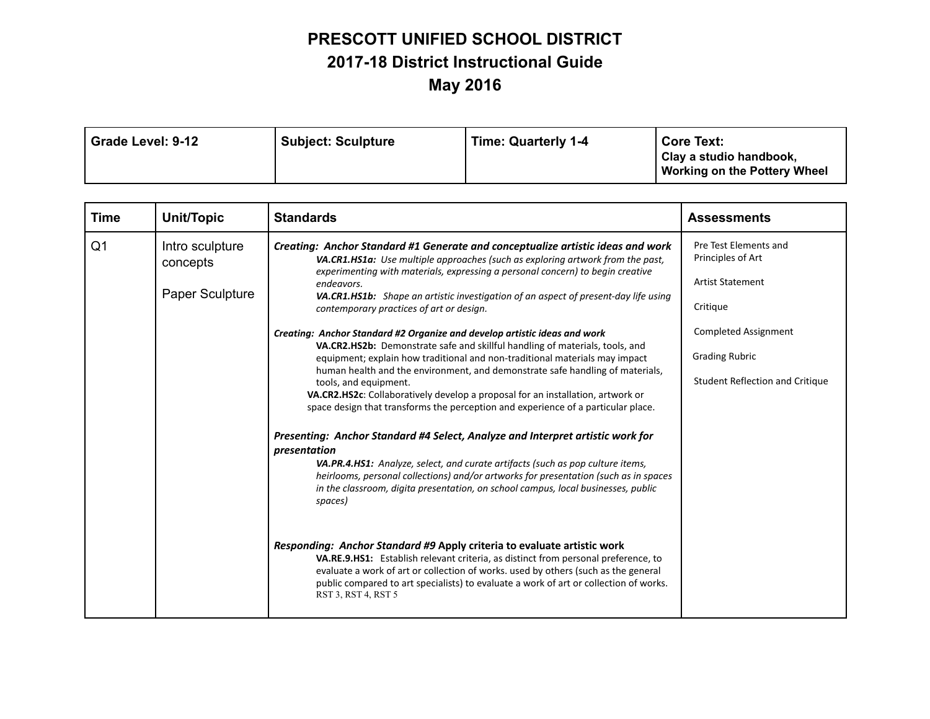## **PRESCOTT UNIFIED SCHOOL DISTRICT 2017-18 District Instructional Guide May 2016**

| Grade Level: 9-12<br><b>Subject: Sculpture</b> | <b>Time: Quarterly 1-4</b> | <b>Core Text:</b><br>Clay a studio handbook,<br><b>Working on the Pottery Wheel</b> |
|------------------------------------------------|----------------------------|-------------------------------------------------------------------------------------|
|------------------------------------------------|----------------------------|-------------------------------------------------------------------------------------|

| <b>Time</b>    | Unit/Topic                                     | <b>Standards</b>                                                                                                                                                                                                                                                                                                                                                                                                                                                                                                                                                                                                                                                                                                                                                                                                                                                                                                                   | <b>Assessments</b>                                                                                                                                                                  |
|----------------|------------------------------------------------|------------------------------------------------------------------------------------------------------------------------------------------------------------------------------------------------------------------------------------------------------------------------------------------------------------------------------------------------------------------------------------------------------------------------------------------------------------------------------------------------------------------------------------------------------------------------------------------------------------------------------------------------------------------------------------------------------------------------------------------------------------------------------------------------------------------------------------------------------------------------------------------------------------------------------------|-------------------------------------------------------------------------------------------------------------------------------------------------------------------------------------|
| Q <sub>1</sub> | Intro sculpture<br>concepts<br>Paper Sculpture | Creating: Anchor Standard #1 Generate and conceptualize artistic ideas and work<br>VA.CR1.HS1a: Use multiple approaches (such as exploring artwork from the past,<br>experimenting with materials, expressing a personal concern) to begin creative<br>endeavors.<br>VA.CR1.HS1b: Shape an artistic investigation of an aspect of present-day life using<br>contemporary practices of art or design.<br>Creating: Anchor Standard #2 Organize and develop artistic ideas and work<br>VA.CR2.HS2b: Demonstrate safe and skillful handling of materials, tools, and<br>equipment; explain how traditional and non-traditional materials may impact<br>human health and the environment, and demonstrate safe handling of materials,<br>tools, and equipment.<br>VA.CR2.HS2c: Collaboratively develop a proposal for an installation, artwork or<br>space design that transforms the perception and experience of a particular place. | Pre Test Elements and<br>Principles of Art<br><b>Artist Statement</b><br>Critique<br><b>Completed Assignment</b><br><b>Grading Rubric</b><br><b>Student Reflection and Critique</b> |
|                |                                                | Presenting: Anchor Standard #4 Select, Analyze and Interpret artistic work for<br>presentation<br>VA.PR.4.HS1: Analyze, select, and curate artifacts (such as pop culture items,<br>heirlooms, personal collections) and/or artworks for presentation (such as in spaces<br>in the classroom, digita presentation, on school campus, local businesses, public<br>spaces)<br>Responding: Anchor Standard #9 Apply criteria to evaluate artistic work<br>VA.RE.9.HS1: Establish relevant criteria, as distinct from personal preference, to<br>evaluate a work of art or collection of works. used by others (such as the general<br>public compared to art specialists) to evaluate a work of art or collection of works.<br>RST 3, RST 4, RST 5                                                                                                                                                                                    |                                                                                                                                                                                     |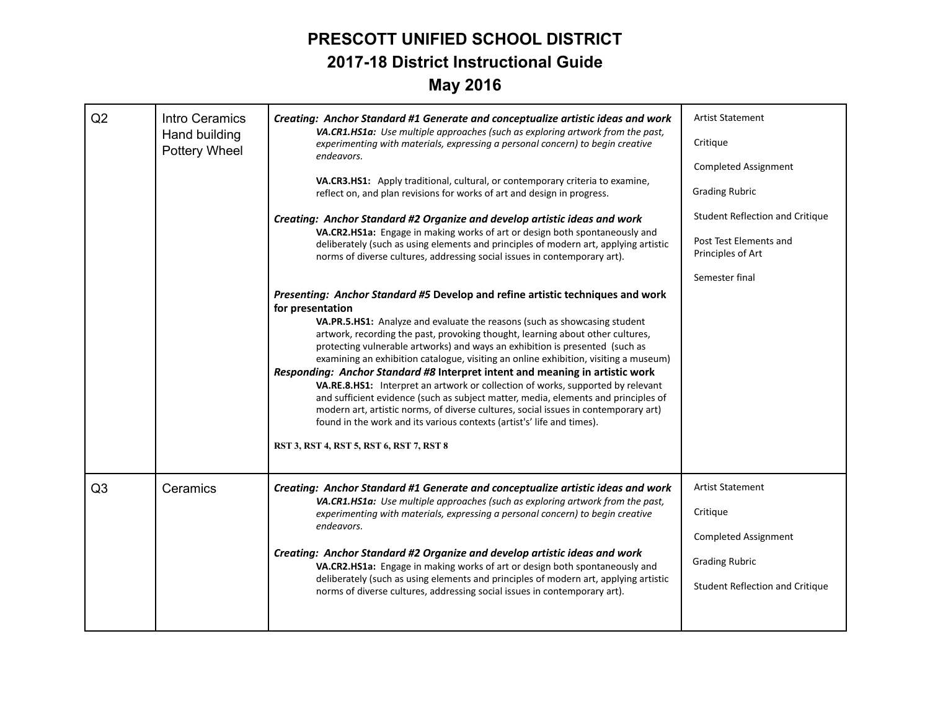## **PRESCOTT UNIFIED SCHOOL DISTRICT 2017-18 District Instructional Guide May 2016**

| Q2             | Intro Ceramics<br>VA.CR1.HS1a: Use multiple approaches (such as exploring artwork from the past,<br>Hand building<br>experimenting with materials, expressing a personal concern) to begin creative<br>Pottery Wheel | Creating: Anchor Standard #1 Generate and conceptualize artistic ideas and work                                                                                                                                                                                                                                                                                                                                                                                                                                                                                                                                                                                                                                                                                                                                                                                                                                 | <b>Artist Statement</b>                                                                                                        |
|----------------|----------------------------------------------------------------------------------------------------------------------------------------------------------------------------------------------------------------------|-----------------------------------------------------------------------------------------------------------------------------------------------------------------------------------------------------------------------------------------------------------------------------------------------------------------------------------------------------------------------------------------------------------------------------------------------------------------------------------------------------------------------------------------------------------------------------------------------------------------------------------------------------------------------------------------------------------------------------------------------------------------------------------------------------------------------------------------------------------------------------------------------------------------|--------------------------------------------------------------------------------------------------------------------------------|
|                |                                                                                                                                                                                                                      | Critique                                                                                                                                                                                                                                                                                                                                                                                                                                                                                                                                                                                                                                                                                                                                                                                                                                                                                                        |                                                                                                                                |
|                |                                                                                                                                                                                                                      | endeavors.                                                                                                                                                                                                                                                                                                                                                                                                                                                                                                                                                                                                                                                                                                                                                                                                                                                                                                      | <b>Completed Assignment</b>                                                                                                    |
|                |                                                                                                                                                                                                                      | VA.CR3.HS1: Apply traditional, cultural, or contemporary criteria to examine,<br>reflect on, and plan revisions for works of art and design in progress.                                                                                                                                                                                                                                                                                                                                                                                                                                                                                                                                                                                                                                                                                                                                                        | <b>Grading Rubric</b>                                                                                                          |
|                |                                                                                                                                                                                                                      | Creating: Anchor Standard #2 Organize and develop artistic ideas and work<br>VA.CR2.HS1a: Engage in making works of art or design both spontaneously and<br>deliberately (such as using elements and principles of modern art, applying artistic<br>norms of diverse cultures, addressing social issues in contemporary art).                                                                                                                                                                                                                                                                                                                                                                                                                                                                                                                                                                                   | Student Reflection and Critique                                                                                                |
|                |                                                                                                                                                                                                                      |                                                                                                                                                                                                                                                                                                                                                                                                                                                                                                                                                                                                                                                                                                                                                                                                                                                                                                                 | Post Test Elements and<br>Principles of Art                                                                                    |
|                |                                                                                                                                                                                                                      |                                                                                                                                                                                                                                                                                                                                                                                                                                                                                                                                                                                                                                                                                                                                                                                                                                                                                                                 | Semester final                                                                                                                 |
|                |                                                                                                                                                                                                                      | Presenting: Anchor Standard #5 Develop and refine artistic techniques and work<br>for presentation<br>VA.PR.5.HS1: Analyze and evaluate the reasons (such as showcasing student<br>artwork, recording the past, provoking thought, learning about other cultures,<br>protecting vulnerable artworks) and ways an exhibition is presented (such as<br>examining an exhibition catalogue, visiting an online exhibition, visiting a museum)<br>Responding: Anchor Standard #8 Interpret intent and meaning in artistic work<br>VA.RE.8.HS1: Interpret an artwork or collection of works, supported by relevant<br>and sufficient evidence (such as subject matter, media, elements and principles of<br>modern art, artistic norms, of diverse cultures, social issues in contemporary art)<br>found in the work and its various contexts (artist's' life and times).<br>RST 3, RST 4, RST 5, RST 6, RST 7, RST 8 |                                                                                                                                |
| Q <sub>3</sub> | Ceramics                                                                                                                                                                                                             | Creating: Anchor Standard #1 Generate and conceptualize artistic ideas and work<br>VA.CR1.HS1a: Use multiple approaches (such as exploring artwork from the past,<br>experimenting with materials, expressing a personal concern) to begin creative<br>endeavors.<br>Creating: Anchor Standard #2 Organize and develop artistic ideas and work<br>VA.CR2.HS1a: Engage in making works of art or design both spontaneously and<br>deliberately (such as using elements and principles of modern art, applying artistic<br>norms of diverse cultures, addressing social issues in contemporary art).                                                                                                                                                                                                                                                                                                              | <b>Artist Statement</b><br>Critique<br><b>Completed Assignment</b><br><b>Grading Rubric</b><br>Student Reflection and Critique |
|                |                                                                                                                                                                                                                      |                                                                                                                                                                                                                                                                                                                                                                                                                                                                                                                                                                                                                                                                                                                                                                                                                                                                                                                 |                                                                                                                                |